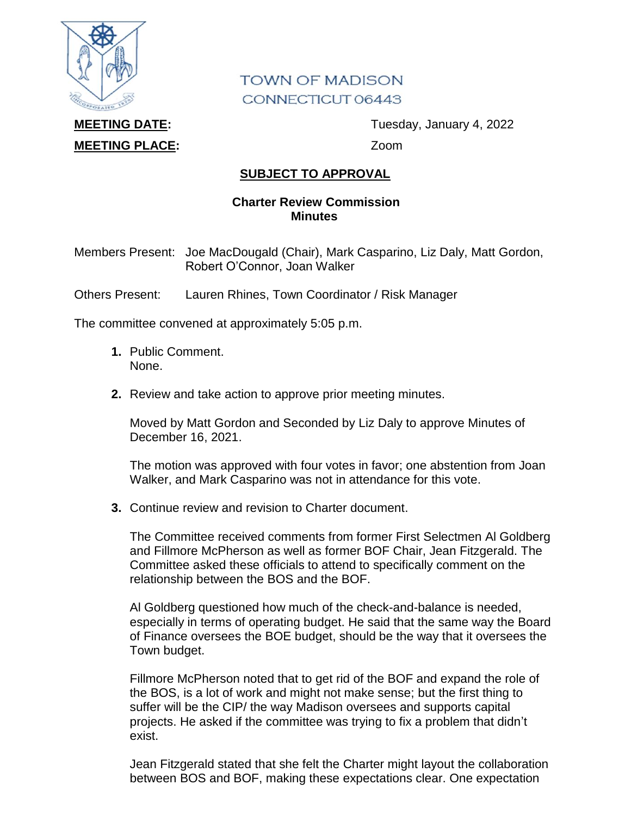

## **TOWN OF MADISON** CONNECTICUT 06443

## **MEETING PLACE:** Zoom

**MEETING DATE:** Tuesday, January 4, 2022

## **SUBJECT TO APPROVAL**

## **Charter Review Commission Minutes**

Members Present: Joe MacDougald (Chair), Mark Casparino, Liz Daly, Matt Gordon, Robert O'Connor, Joan Walker

Others Present: Lauren Rhines, Town Coordinator / Risk Manager

The committee convened at approximately 5:05 p.m.

- **1.** Public Comment. None.
- **2.** Review and take action to approve prior meeting minutes.

Moved by Matt Gordon and Seconded by Liz Daly to approve Minutes of December 16, 2021.

The motion was approved with four votes in favor; one abstention from Joan Walker, and Mark Casparino was not in attendance for this vote.

**3.** Continue review and revision to Charter document.

The Committee received comments from former First Selectmen Al Goldberg and Fillmore McPherson as well as former BOF Chair, Jean Fitzgerald. The Committee asked these officials to attend to specifically comment on the relationship between the BOS and the BOF.

Al Goldberg questioned how much of the check-and-balance is needed, especially in terms of operating budget. He said that the same way the Board of Finance oversees the BOE budget, should be the way that it oversees the Town budget.

Fillmore McPherson noted that to get rid of the BOF and expand the role of the BOS, is a lot of work and might not make sense; but the first thing to suffer will be the CIP/ the way Madison oversees and supports capital projects. He asked if the committee was trying to fix a problem that didn't exist.

Jean Fitzgerald stated that she felt the Charter might layout the collaboration between BOS and BOF, making these expectations clear. One expectation